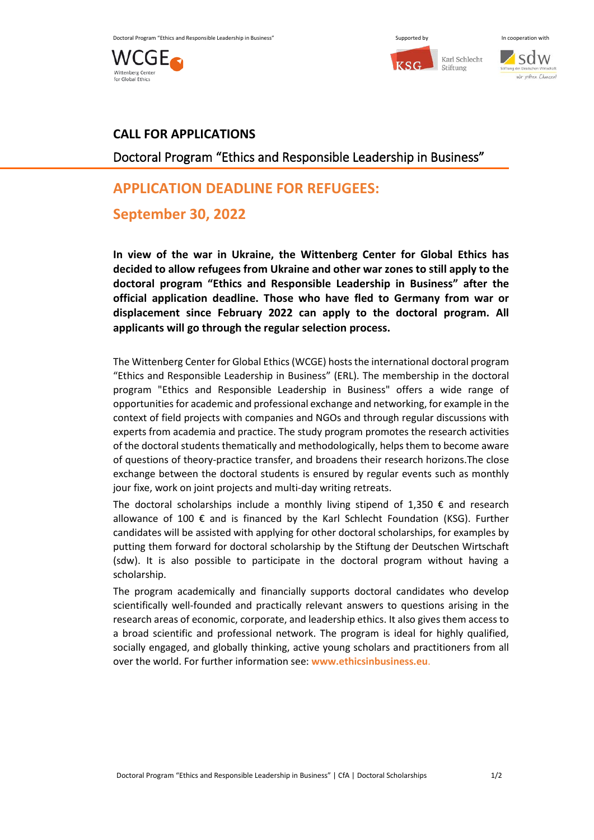





### **CALL FOR APPLICATIONS**

Doctoral Program "Ethics and Responsible Leadership in Business"

# **APPLICATION DEADLINE FOR REFUGEES:**

## **September 30, 2022**

**In view of the war in Ukraine, the Wittenberg Center for Global Ethics has decided to allow refugees from Ukraine and other war zones to still apply to the doctoral program "Ethics and Responsible Leadership in Business" after the official application deadline. Those who have fled to Germany from war or displacement since February 2022 can apply to the doctoral program. All applicants will go through the regular selection process.**

The Wittenberg Center for Global Ethics (WCGE) hosts the international doctoral program "Ethics and Responsible Leadership in Business" (ERL). The membership in the doctoral program "Ethics and Responsible Leadership in Business" offers a wide range of opportunities for academic and professional exchange and networking, for example in the context of field projects with companies and NGOs and through regular discussions with experts from academia and practice. The study program promotes the research activities of the doctoral students thematically and methodologically, helps them to become aware of questions of theory-practice transfer, and broadens their research horizons.The close exchange between the doctoral students is ensured by regular events such as monthly jour fixe, work on joint projects and multi-day writing retreats.

The doctoral scholarships include a monthly living stipend of  $1,350 \in \mathbb{R}$  and research allowance of 100 € and is financed by the Karl Schlecht Foundation (KSG). Further candidates will be assisted with applying for other doctoral scholarships, for examples by putting them forward for doctoral scholarship by the Stiftung der Deutschen Wirtschaft (sdw). It is also possible to participate in the doctoral program without having a scholarship.

The program academically and financially supports doctoral candidates who develop scientifically well-founded and practically relevant answers to questions arising in the research areas of economic, corporate, and leadership ethics. It also gives them access to a broad scientific and professional network. The program is ideal for highly qualified, socially engaged, and globally thinking, active young scholars and practitioners from all over the world. For further information see: **[www.ethicsinbusiness.eu](http://www.ethicsinbusiness.eu/)**.